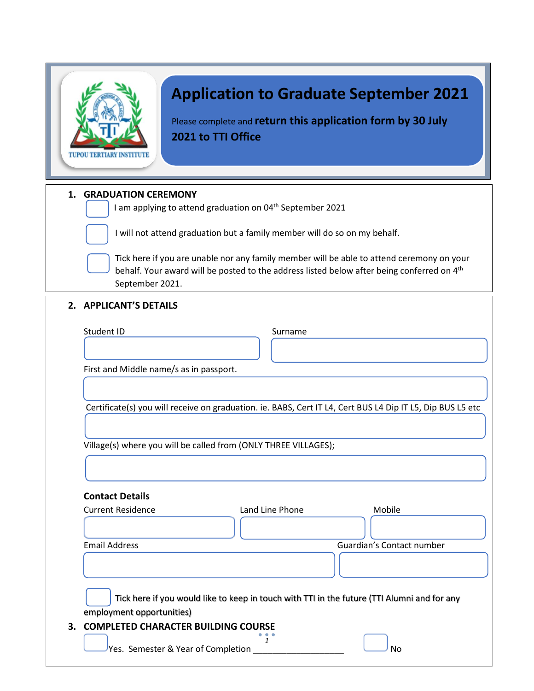|  | <b>TUPOU TERTIARY INSTITUTE</b> |  |  |
|--|---------------------------------|--|--|

# **Application to Graduate September 2021**

Please complete and **return this application form by 30 July 2021 to TTI Office** 

# **1. GRADUATION CEREMONY**

 $\vert$  I am applying to attend graduation on 04<sup>th</sup> September 2021

I will not attend graduation but a family member will do so on my behalf.

Tick here if you are unable nor any family member will be able to attend ceremony on your behalf. Your award will be posted to the address listed below after being conferred on 4<sup>th</sup> September 2021.

#### **2. APPLICANT'S DETAILS**

| Student ID                                                                                                 | Surname         |                           |
|------------------------------------------------------------------------------------------------------------|-----------------|---------------------------|
|                                                                                                            |                 |                           |
| First and Middle name/s as in passport.                                                                    |                 |                           |
|                                                                                                            |                 |                           |
| Certificate(s) you will receive on graduation. ie. BABS, Cert IT L4, Cert BUS L4 Dip IT L5, Dip BUS L5 etc |                 |                           |
|                                                                                                            |                 |                           |
|                                                                                                            |                 |                           |
| Village(s) where you will be called from (ONLY THREE VILLAGES);                                            |                 |                           |
|                                                                                                            |                 |                           |
|                                                                                                            |                 |                           |
| <b>Contact Details</b>                                                                                     |                 |                           |
| <b>Current Residence</b>                                                                                   | Land Line Phone | Mobile                    |
|                                                                                                            |                 |                           |
|                                                                                                            |                 |                           |
|                                                                                                            |                 | Guardian's Contact number |
|                                                                                                            |                 |                           |
|                                                                                                            |                 |                           |
| Tick here if you would like to keep in touch with TTI in the future (TTI Alumni and for any                |                 |                           |
|                                                                                                            |                 |                           |
| <b>Email Address</b><br>employment opportunities)<br>3. COMPLETED CHARACTER BUILDING COURSE                | 1               |                           |